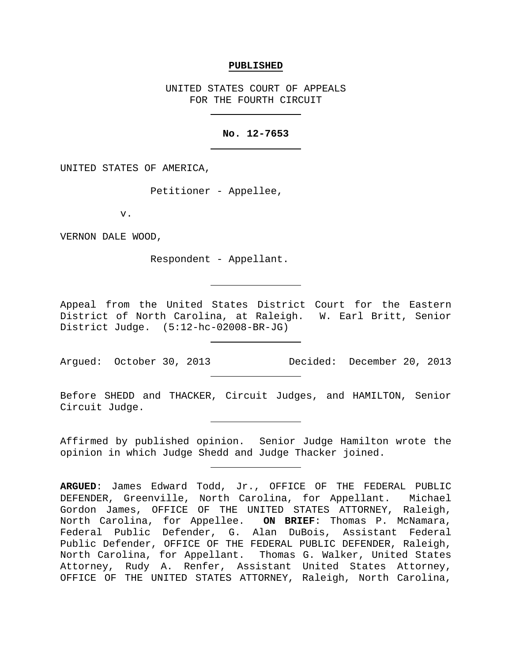## **PUBLISHED**

UNITED STATES COURT OF APPEALS FOR THE FOURTH CIRCUIT

## **No. 12-7653**

UNITED STATES OF AMERICA,

Petitioner - Appellee,

v.

VERNON DALE WOOD,

Respondent - Appellant.

Appeal from the United States District Court for the Eastern District of North Carolina, at Raleigh. W. Earl Britt, Senior District Judge. (5:12-hc-02008-BR-JG)

Argued: October 30, 2013 Decided: December 20, 2013

Before SHEDD and THACKER, Circuit Judges, and HAMILTON, Senior Circuit Judge.

Affirmed by published opinion. Senior Judge Hamilton wrote the opinion in which Judge Shedd and Judge Thacker joined.

**ARGUED**: James Edward Todd, Jr., OFFICE OF THE FEDERAL PUBLIC DEFENDER, Greenville, North Carolina, for Appellant. Michael Gordon James, OFFICE OF THE UNITED STATES ATTORNEY, Raleigh, North Carolina, for Appellee. **ON BRIEF**: Thomas P. McNamara, Federal Public Defender, G. Alan DuBois, Assistant Federal Public Defender, OFFICE OF THE FEDERAL PUBLIC DEFENDER, Raleigh, North Carolina, for Appellant. Thomas G. Walker, United States Attorney, Rudy A. Renfer, Assistant United States Attorney, OFFICE OF THE UNITED STATES ATTORNEY, Raleigh, North Carolina,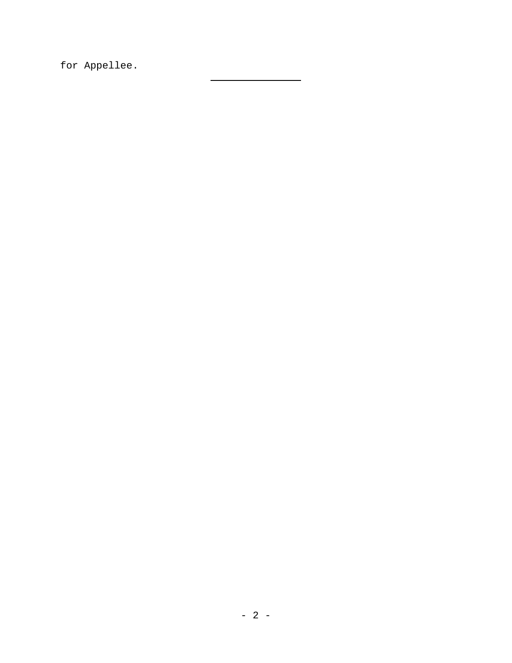for Appellee.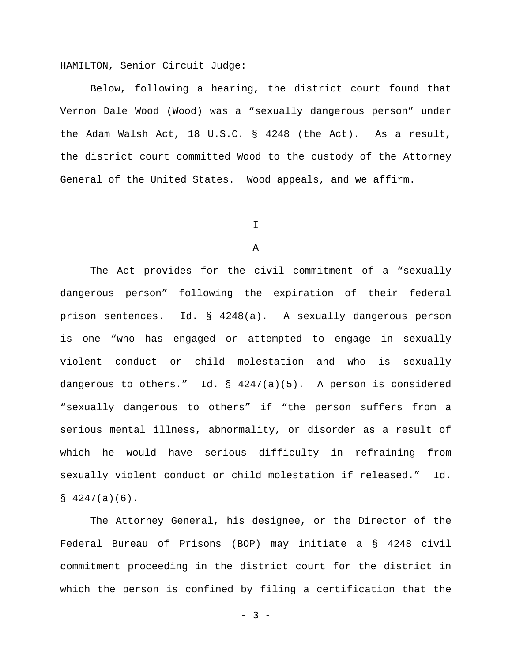HAMILTON, Senior Circuit Judge:

Below, following a hearing, the district court found that Vernon Dale Wood (Wood) was a "sexually dangerous person" under the Adam Walsh Act, 18 U.S.C. § 4248 (the Act). As a result, the district court committed Wood to the custody of the Attorney General of the United States. Wood appeals, and we affirm.

I

A

The Act provides for the civil commitment of a "sexually dangerous person" following the expiration of their federal prison sentences. Id. § 4248(a). A sexually dangerous person is one "who has engaged or attempted to engage in sexually violent conduct or child molestation and who is sexually dangerous to others." Id. § 4247(a)(5). A person is considered "sexually dangerous to others" if "the person suffers from a serious mental illness, abnormality, or disorder as a result of which he would have serious difficulty in refraining from sexually violent conduct or child molestation if released." Id.  $$4247(a)(6)$ .

The Attorney General, his designee, or the Director of the Federal Bureau of Prisons (BOP) may initiate a § 4248 civil commitment proceeding in the district court for the district in which the person is confined by filing a certification that the

 $- 3 -$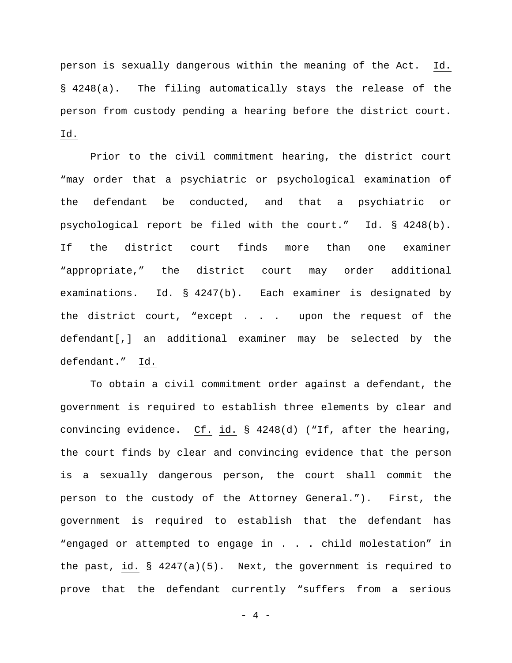person is sexually dangerous within the meaning of the Act. Id. § 4248(a). The filing automatically stays the release of the person from custody pending a hearing before the district court. Id.

Prior to the civil commitment hearing, the district court "may order that a psychiatric or psychological examination of the defendant be conducted, and that a psychiatric or psychological report be filed with the court." Id. § 4248(b). If the district court finds more than one examiner "appropriate," the district court may order additional examinations. Id. § 4247(b). Each examiner is designated by the district court, "except . . . upon the request of the defendant[,] an additional examiner may be selected by the defendant." Id.

To obtain a civil commitment order against a defendant, the government is required to establish three elements by clear and convincing evidence. Cf. id. § 4248(d) ("If, after the hearing, the court finds by clear and convincing evidence that the person is a sexually dangerous person, the court shall commit the person to the custody of the Attorney General."). First, the government is required to establish that the defendant has "engaged or attempted to engage in . . . child molestation" in the past, id.  $\S$  4247(a)(5). Next, the government is required to prove that the defendant currently "suffers from a serious

 $- 4 -$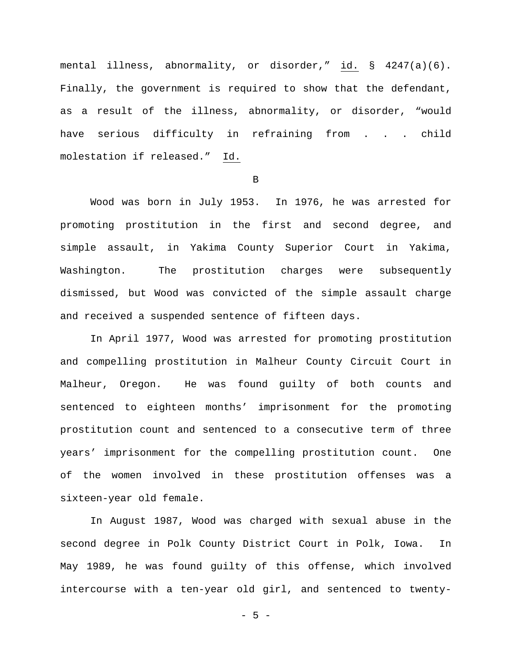mental illness, abnormality, or disorder," id. § 4247(a)(6). Finally, the government is required to show that the defendant, as a result of the illness, abnormality, or disorder, "would have serious difficulty in refraining from . . . child molestation if released." Id.

B

Wood was born in July 1953. In 1976, he was arrested for promoting prostitution in the first and second degree, and simple assault, in Yakima County Superior Court in Yakima, Washington. The prostitution charges were subsequently dismissed, but Wood was convicted of the simple assault charge and received a suspended sentence of fifteen days.

In April 1977, Wood was arrested for promoting prostitution and compelling prostitution in Malheur County Circuit Court in Malheur, Oregon. He was found guilty of both counts and sentenced to eighteen months' imprisonment for the promoting prostitution count and sentenced to a consecutive term of three years' imprisonment for the compelling prostitution count. One of the women involved in these prostitution offenses was a sixteen-year old female.

In August 1987, Wood was charged with sexual abuse in the second degree in Polk County District Court in Polk, Iowa. In May 1989, he was found guilty of this offense, which involved intercourse with a ten-year old girl, and sentenced to twenty-

- 5 -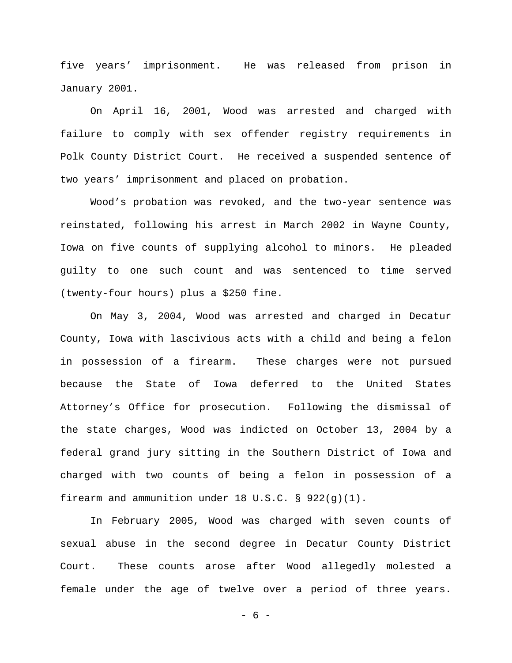five years' imprisonment. He was released from prison in January 2001.

On April 16, 2001, Wood was arrested and charged with failure to comply with sex offender registry requirements in Polk County District Court. He received a suspended sentence of two years' imprisonment and placed on probation.

Wood's probation was revoked, and the two-year sentence was reinstated, following his arrest in March 2002 in Wayne County, Iowa on five counts of supplying alcohol to minors. He pleaded guilty to one such count and was sentenced to time served (twenty-four hours) plus a \$250 fine.

On May 3, 2004, Wood was arrested and charged in Decatur County, Iowa with lascivious acts with a child and being a felon in possession of a firearm. These charges were not pursued because the State of Iowa deferred to the United States Attorney's Office for prosecution. Following the dismissal of the state charges, Wood was indicted on October 13, 2004 by a federal grand jury sitting in the Southern District of Iowa and charged with two counts of being a felon in possession of a firearm and ammunition under 18 U.S.C. § 922(g)(1).

In February 2005, Wood was charged with seven counts of sexual abuse in the second degree in Decatur County District Court. These counts arose after Wood allegedly molested a female under the age of twelve over a period of three years.

- 6 -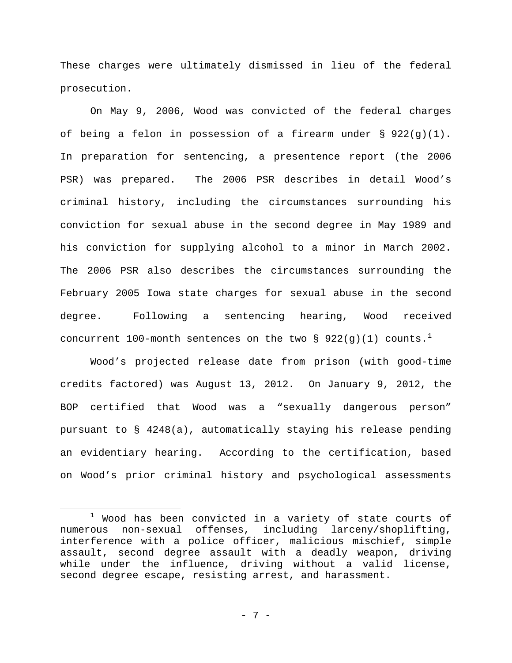These charges were ultimately dismissed in lieu of the federal prosecution.

On May 9, 2006, Wood was convicted of the federal charges of being a felon in possession of a firearm under  $\S$  922(g)(1). In preparation for sentencing, a presentence report (the 2006 PSR) was prepared. The 2006 PSR describes in detail Wood's criminal history, including the circumstances surrounding his conviction for sexual abuse in the second degree in May 1989 and his conviction for supplying alcohol to a minor in March 2002. The 2006 PSR also describes the circumstances surrounding the February 2005 Iowa state charges for sexual abuse in the second degree. Following a sentencing hearing, Wood received concurrent [1](#page-6-0)00-month sentences on the two § 922(g)(1) counts.<sup>1</sup>

Wood's projected release date from prison (with good-time credits factored) was August 13, 2012. On January 9, 2012, the BOP certified that Wood was a "sexually dangerous person" pursuant to § 4248(a), automatically staying his release pending an evidentiary hearing. According to the certification, based on Wood's prior criminal history and psychological assessments

<span id="page-6-0"></span> $1$  Wood has been convicted in a variety of state courts of numerous non-sexual offenses, including larceny/shoplifting, interference with a police officer, malicious mischief, simple assault, second degree assault with a deadly weapon, driving while under the influence, driving without a valid license, second degree escape, resisting arrest, and harassment.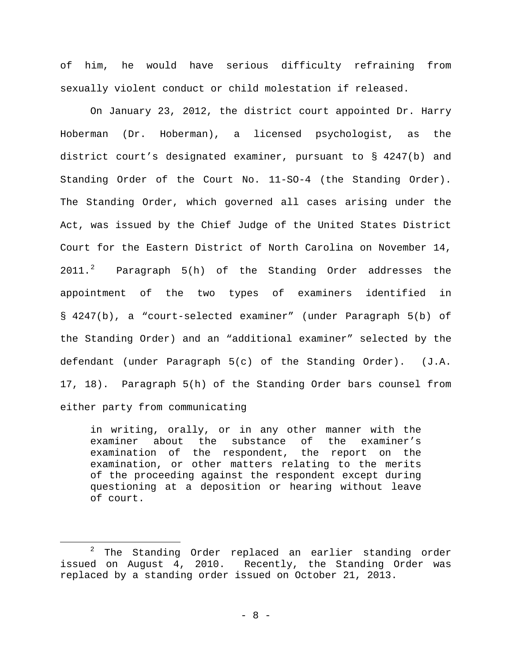of him, he would have serious difficulty refraining from sexually violent conduct or child molestation if released.

On January 23, 2012, the district court appointed Dr. Harry Hoberman (Dr. Hoberman), a licensed psychologist, as the district court's designated examiner, pursuant to § 4247(b) and Standing Order of the Court No. 11-SO-4 (the Standing Order). The Standing Order, which governed all cases arising under the Act, was issued by the Chief Judge of the United States District Court for the Eastern District of North Carolina on November 14, [2](#page-7-0)011.<sup>2</sup> Paragraph 5(h) of the Standing Order addresses the appointment of the two types of examiners identified in § 4247(b), a "court-selected examiner" (under Paragraph 5(b) of the Standing Order) and an "additional examiner" selected by the defendant (under Paragraph 5(c) of the Standing Order). (J.A. 17, 18). Paragraph 5(h) of the Standing Order bars counsel from either party from communicating

in writing, orally, or in any other manner with the<br>examiner about the substance of the examiner's examiner about the substance of examination of the respondent, the report on the examination, or other matters relating to the merits of the proceeding against the respondent except during questioning at a deposition or hearing without leave of court.

<span id="page-7-0"></span><sup>&</sup>lt;sup>2</sup> The Standing Order replaced an earlier standing order issued on August 4, 2010. Recently, the Standing Order was replaced by a standing order issued on October 21, 2013.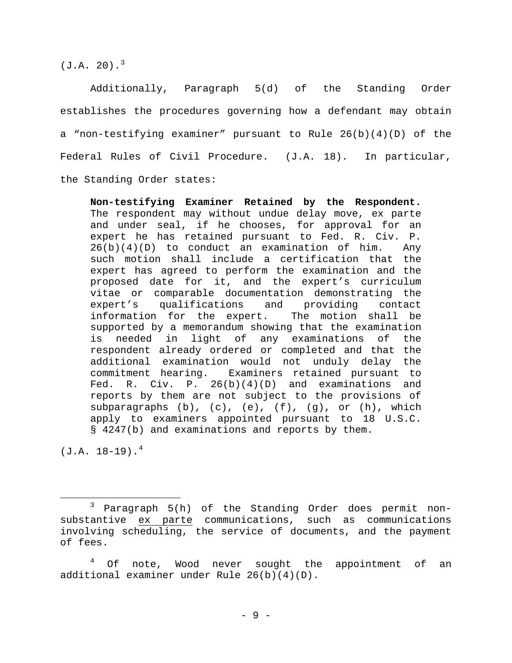$(J.A. 20).<sup>3</sup>$  $(J.A. 20).<sup>3</sup>$  $(J.A. 20).<sup>3</sup>$ 

Additionally, Paragraph 5(d) of the Standing Order establishes the procedures governing how a defendant may obtain a "non-testifying examiner" pursuant to Rule 26(b)(4)(D) of the Federal Rules of Civil Procedure. (J.A. 18). In particular, the Standing Order states:

**Non-testifying Examiner Retained by the Respondent.** The respondent may without undue delay move, ex parte and under seal, if he chooses, for approval for an expert he has retained pursuant to Fed. R. Civ. P. 26(b)(4)(D) to conduct an examination of him. Any such motion shall include a certification that the expert has agreed to perform the examination and the proposed date for it, and the expert's curriculum vitae or comparable documentation demonstrating the<br>expert's qualifications and providing contact qualifications and providing contact<br>for the expert. The motion shall be information for the expert. supported by a memorandum showing that the examination is needed in light of any examinations of the respondent already ordered or completed and that the additional examination would not unduly delay the commitment hearing. Examiners retained pursuant to Fed. R. Civ. P. 26(b)(4)(D) and examinations and reports by them are not subject to the provisions of subparagraphs  $(b)$ ,  $(c)$ ,  $(e)$ ,  $(f)$ ,  $(g)$ , or  $(h)$ , which apply to examiners appointed pursuant to 18 U.S.C. § 4247(b) and examinations and reports by them.

 $(J.A. 18-19).<sup>4</sup>$  $(J.A. 18-19).<sup>4</sup>$  $(J.A. 18-19).<sup>4</sup>$ 

<span id="page-8-0"></span> <sup>3</sup> Paragraph 5(h) of the Standing Order does permit nonsubstantive ex parte communications, such as communications involving scheduling, the service of documents, and the payment of fees.

<span id="page-8-1"></span> $4$  Of note, Wood never sought the appointment of an additional examiner under Rule 26(b)(4)(D).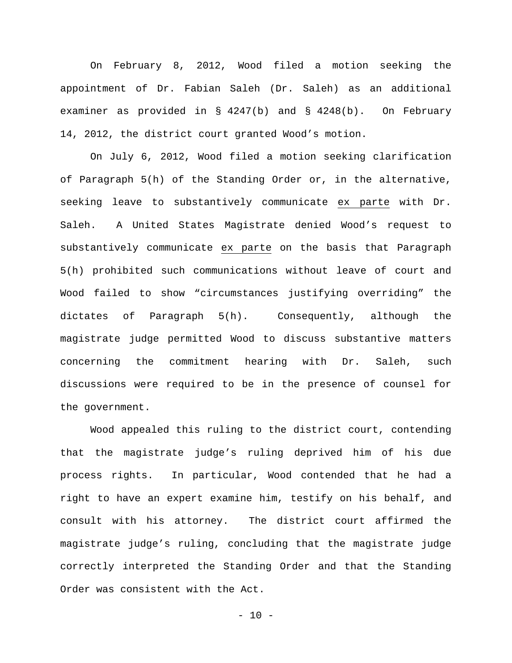On February 8, 2012, Wood filed a motion seeking the appointment of Dr. Fabian Saleh (Dr. Saleh) as an additional examiner as provided in § 4247(b) and § 4248(b). On February 14, 2012, the district court granted Wood's motion.

On July 6, 2012, Wood filed a motion seeking clarification of Paragraph 5(h) of the Standing Order or, in the alternative, seeking leave to substantively communicate ex parte with Dr. Saleh. A United States Magistrate denied Wood's request to substantively communicate ex parte on the basis that Paragraph 5(h) prohibited such communications without leave of court and Wood failed to show "circumstances justifying overriding" the dictates of Paragraph 5(h). Consequently, although the magistrate judge permitted Wood to discuss substantive matters concerning the commitment hearing with Dr. Saleh, such discussions were required to be in the presence of counsel for the government.

Wood appealed this ruling to the district court, contending that the magistrate judge's ruling deprived him of his due process rights. In particular, Wood contended that he had a right to have an expert examine him, testify on his behalf, and consult with his attorney. The district court affirmed the magistrate judge's ruling, concluding that the magistrate judge correctly interpreted the Standing Order and that the Standing Order was consistent with the Act.

 $-10 -$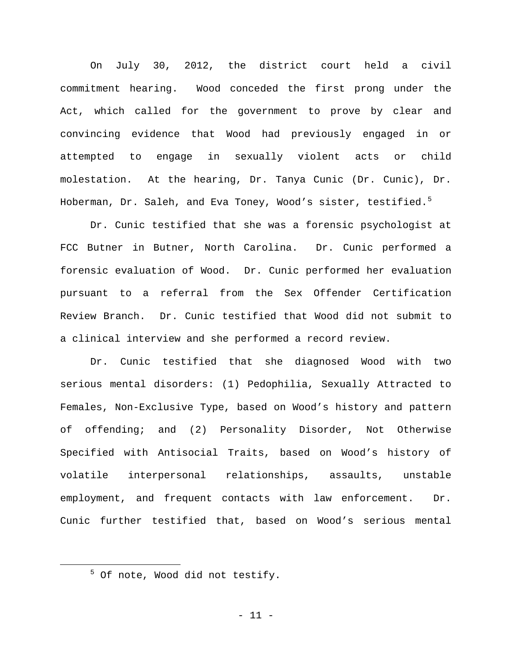On July 30, 2012, the district court held a civil commitment hearing. Wood conceded the first prong under the Act, which called for the government to prove by clear and convincing evidence that Wood had previously engaged in or attempted to engage in sexually violent acts or child molestation. At the hearing, Dr. Tanya Cunic (Dr. Cunic), Dr. Hoberman, Dr. Saleh, and Eva Toney, Wood's sister, testified.<sup>[5](#page-10-0)</sup>

Dr. Cunic testified that she was a forensic psychologist at FCC Butner in Butner, North Carolina. Dr. Cunic performed a forensic evaluation of Wood. Dr. Cunic performed her evaluation pursuant to a referral from the Sex Offender Certification Review Branch. Dr. Cunic testified that Wood did not submit to a clinical interview and she performed a record review.

Dr. Cunic testified that she diagnosed Wood with two serious mental disorders: (1) Pedophilia, Sexually Attracted to Females, Non-Exclusive Type, based on Wood's history and pattern of offending; and (2) Personality Disorder, Not Otherwise Specified with Antisocial Traits, based on Wood's history of volatile interpersonal relationships, assaults, unstable employment, and frequent contacts with law enforcement. Dr. Cunic further testified that, based on Wood's serious mental

<span id="page-10-0"></span> $5$  Of note, Wood did not testify.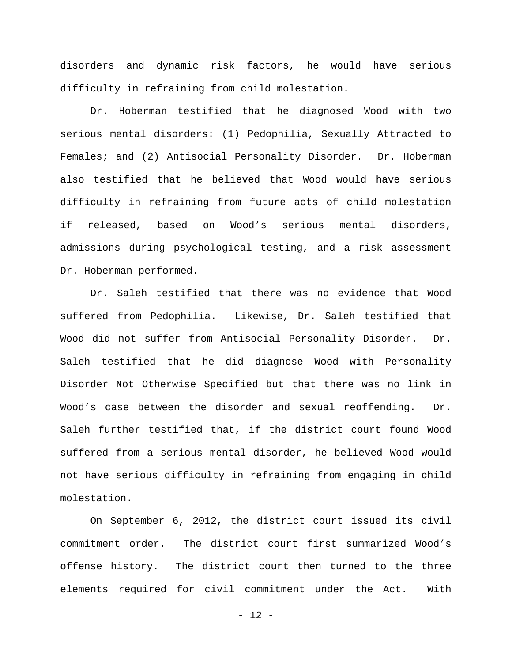disorders and dynamic risk factors, he would have serious difficulty in refraining from child molestation.

Dr. Hoberman testified that he diagnosed Wood with two serious mental disorders: (1) Pedophilia, Sexually Attracted to Females; and (2) Antisocial Personality Disorder. Dr. Hoberman also testified that he believed that Wood would have serious difficulty in refraining from future acts of child molestation if released, based on Wood's serious mental disorders, admissions during psychological testing, and a risk assessment Dr. Hoberman performed.

Dr. Saleh testified that there was no evidence that Wood suffered from Pedophilia. Likewise, Dr. Saleh testified that Wood did not suffer from Antisocial Personality Disorder. Dr. Saleh testified that he did diagnose Wood with Personality Disorder Not Otherwise Specified but that there was no link in Wood's case between the disorder and sexual reoffending. Dr. Saleh further testified that, if the district court found Wood suffered from a serious mental disorder, he believed Wood would not have serious difficulty in refraining from engaging in child molestation.

On September 6, 2012, the district court issued its civil commitment order. The district court first summarized Wood's offense history. The district court then turned to the three elements required for civil commitment under the Act. With

 $- 12 -$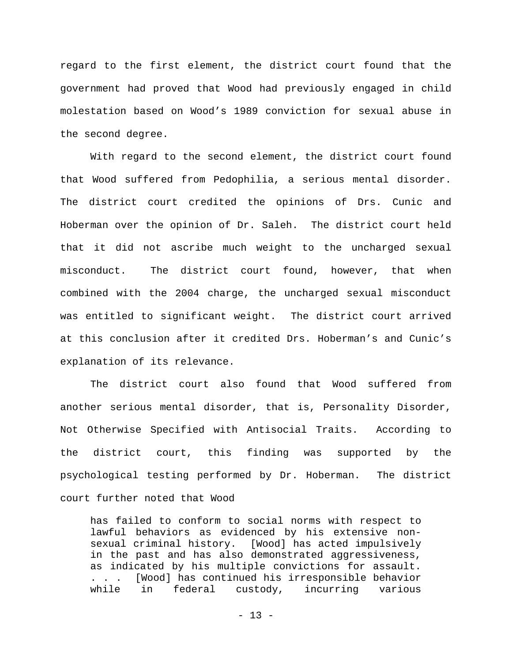regard to the first element, the district court found that the government had proved that Wood had previously engaged in child molestation based on Wood's 1989 conviction for sexual abuse in the second degree.

With regard to the second element, the district court found that Wood suffered from Pedophilia, a serious mental disorder. The district court credited the opinions of Drs. Cunic and Hoberman over the opinion of Dr. Saleh. The district court held that it did not ascribe much weight to the uncharged sexual misconduct. The district court found, however, that when combined with the 2004 charge, the uncharged sexual misconduct was entitled to significant weight. The district court arrived at this conclusion after it credited Drs. Hoberman's and Cunic's explanation of its relevance.

The district court also found that Wood suffered from another serious mental disorder, that is, Personality Disorder, Not Otherwise Specified with Antisocial Traits. According to the district court, this finding was supported by the psychological testing performed by Dr. Hoberman. The district court further noted that Wood

has failed to conform to social norms with respect to lawful behaviors as evidenced by his extensive non-<br>sexual criminal history. [Wood] has acted impulsively [Wood] has acted impulsively in the past and has also demonstrated aggressiveness, as indicated by his multiple convictions for assault. . . . [Wood] has continued his irresponsible behavior while in federal custody, incurring various

 $- 13 -$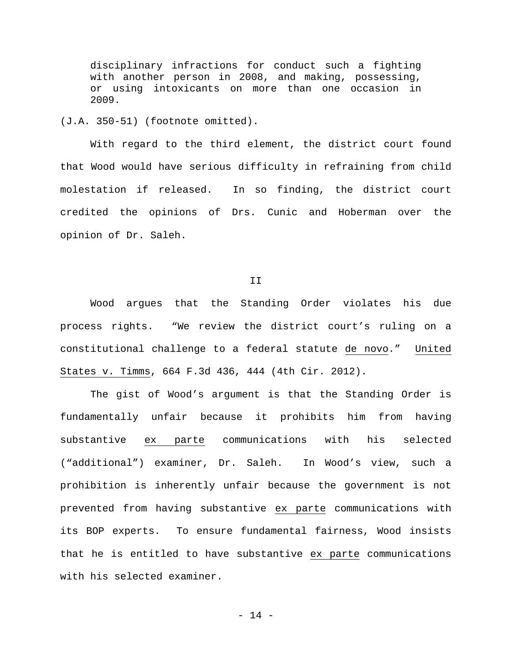disciplinary infractions for conduct such a fighting with another person in 2008, and making, possessing, or using intoxicants on more than one occasion in 2009.

(J.A. 350-51) (footnote omitted).

With regard to the third element, the district court found that Wood would have serious difficulty in refraining from child molestation if released. In so finding, the district court credited the opinions of Drs. Cunic and Hoberman over the opinion of Dr. Saleh.

II

Wood argues that the Standing Order violates his due process rights. "We review the district court's ruling on a constitutional challenge to a federal statute de novo." United States v. Timms, 664 F.3d 436, 444 (4th Cir. 2012).

The gist of Wood's argument is that the Standing Order is fundamentally unfair because it prohibits him from having substantive ex parte communications with his selected ("additional") examiner, Dr. Saleh. In Wood's view, such a prohibition is inherently unfair because the government is not prevented from having substantive ex parte communications with its BOP experts. To ensure fundamental fairness, Wood insists that he is entitled to have substantive ex parte communications with his selected examiner.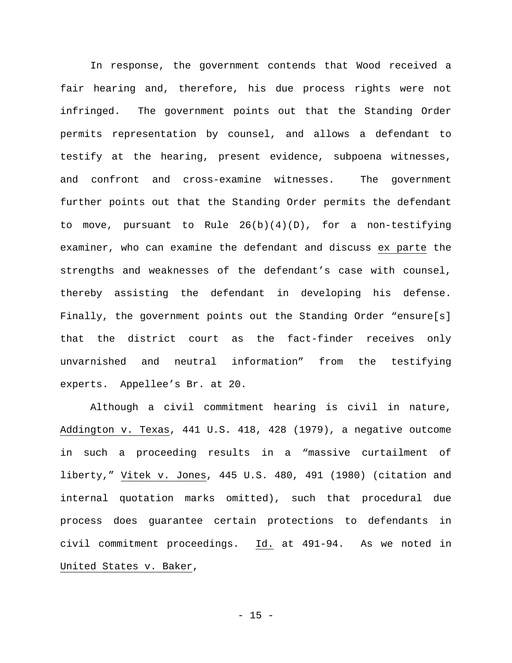In response, the government contends that Wood received a fair hearing and, therefore, his due process rights were not infringed. The government points out that the Standing Order permits representation by counsel, and allows a defendant to testify at the hearing, present evidence, subpoena witnesses, and confront and cross-examine witnesses. The government further points out that the Standing Order permits the defendant to move, pursuant to Rule 26(b)(4)(D), for a non-testifying examiner, who can examine the defendant and discuss ex parte the strengths and weaknesses of the defendant's case with counsel, thereby assisting the defendant in developing his defense. Finally, the government points out the Standing Order "ensure[s] that the district court as the fact-finder receives only unvarnished and neutral information" from the testifying experts. Appellee's Br. at 20.

Although a civil commitment hearing is civil in nature, Addington v. Texas, 441 U.S. 418, 428 (1979), a negative outcome in such a proceeding results in a "massive curtailment of liberty," Vitek v. Jones, 445 U.S. 480, 491 (1980) (citation and internal quotation marks omitted), such that procedural due process does guarantee certain protections to defendants in civil commitment proceedings. Id. at 491-94. As we noted in United States v. Baker,

- 15 -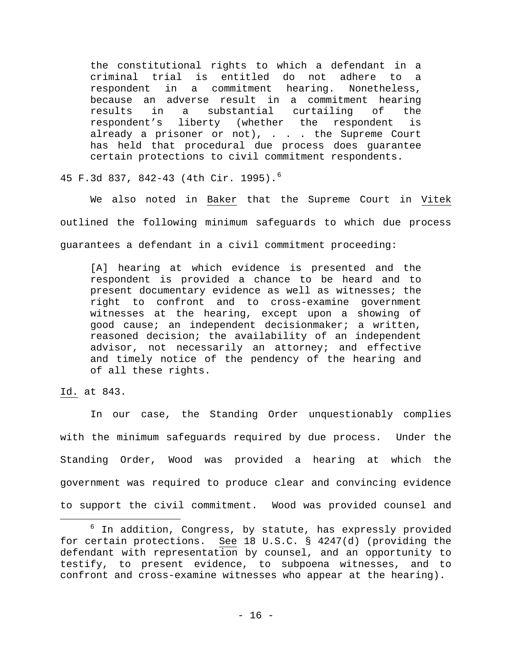the constitutional rights to which a defendant in a criminal trial is entitled do not adhere to a respondent in a commitment hearing. because an adverse result in a commitment hearing<br>results in a substantial curtailing of the substantial curtailing respondent's liberty (whether the respondent is already a prisoner or not), . . . the Supreme Court has held that procedural due process does guarantee certain protections to civil commitment respondents.

45 F.3d 837, 842-43 (4th Cir. 1995).[6](#page-15-0)

We also noted in Baker that the Supreme Court in Vitek outlined the following minimum safeguards to which due process guarantees a defendant in a civil commitment proceeding:

[A] hearing at which evidence is presented and the respondent is provided a chance to be heard and to present documentary evidence as well as witnesses; the right to confront and to cross-examine government witnesses at the hearing, except upon a showing of good cause; an independent decisionmaker; a written, reasoned decision; the availability of an independent advisor, not necessarily an attorney; and effective and timely notice of the pendency of the hearing and of all these rights.

Id. at 843.

In our case, the Standing Order unquestionably complies with the minimum safeguards required by due process. Under the Standing Order, Wood was provided a hearing at which the government was required to produce clear and convincing evidence to support the civil commitment. Wood was provided counsel and

<span id="page-15-0"></span> $6$  In addition, Congress, by statute, has expressly provided for certain protections. See 18 U.S.C. § 4247(d) (providing the defendant with representation by counsel, and an opportunity to testify, to present evidence, to subpoena witnesses, and to confront and cross-examine witnesses who appear at the hearing).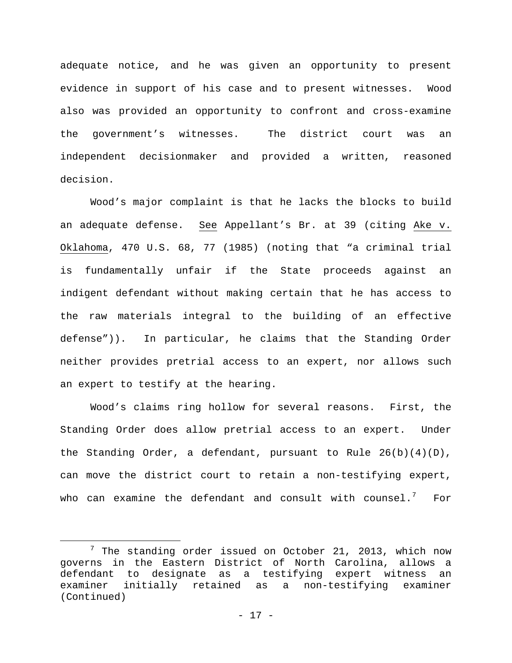adequate notice, and he was given an opportunity to present evidence in support of his case and to present witnesses. Wood also was provided an opportunity to confront and cross-examine the government's witnesses. The district court was an independent decisionmaker and provided a written, reasoned decision.

Wood's major complaint is that he lacks the blocks to build an adequate defense. See Appellant's Br. at 39 (citing Ake v. Oklahoma, 470 U.S. 68, 77 (1985) (noting that "a criminal trial is fundamentally unfair if the State proceeds against an indigent defendant without making certain that he has access to the raw materials integral to the building of an effective defense")). In particular, he claims that the Standing Order neither provides pretrial access to an expert, nor allows such an expert to testify at the hearing.

Wood's claims ring hollow for several reasons. First, the Standing Order does allow pretrial access to an expert. Under the Standing Order, a defendant, pursuant to Rule  $26(b)(4)(D)$ , can move the district court to retain a non-testifying expert, who can examine the defendant and consult with counsel. $^7$  $^7$  For

<span id="page-16-0"></span> $7$  The standing order issued on October 21, 2013, which now governs in the Eastern District of North Carolina, allows a defendant to designate as a testifying expert witness an examiner initially retained as a non-testifying examiner (Continued)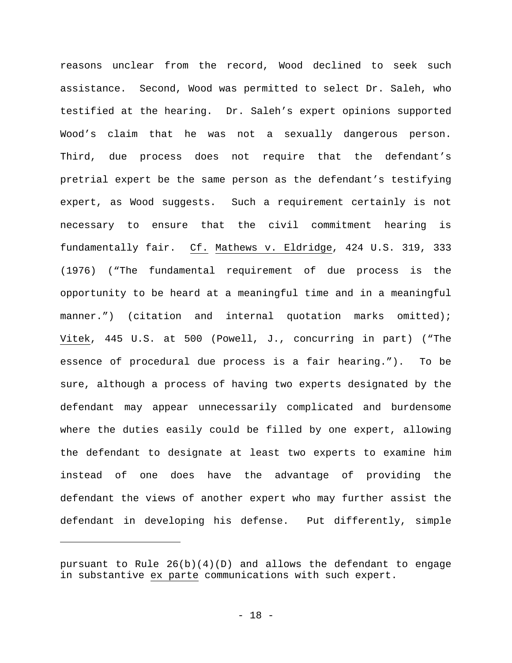reasons unclear from the record, Wood declined to seek such assistance. Second, Wood was permitted to select Dr. Saleh, who testified at the hearing. Dr. Saleh's expert opinions supported Wood's claim that he was not a sexually dangerous person. Third, due process does not require that the defendant's pretrial expert be the same person as the defendant's testifying expert, as Wood suggests. Such a requirement certainly is not necessary to ensure that the civil commitment hearing is fundamentally fair. Cf. Mathews v. Eldridge, 424 U.S. 319, 333 (1976) ("The fundamental requirement of due process is the opportunity to be heard at a meaningful time and in a meaningful manner.") (citation and internal quotation marks omitted); Vitek, 445 U.S. at 500 (Powell, J., concurring in part) ("The essence of procedural due process is a fair hearing."). To be sure, although a process of having two experts designated by the defendant may appear unnecessarily complicated and burdensome where the duties easily could be filled by one expert, allowing the defendant to designate at least two experts to examine him instead of one does have the advantage of providing the defendant the views of another expert who may further assist the defendant in developing his defense. Put differently, simple

Ĩ.

pursuant to Rule  $26(b)(4)(D)$  and allows the defendant to engage in substantive ex parte communications with such expert.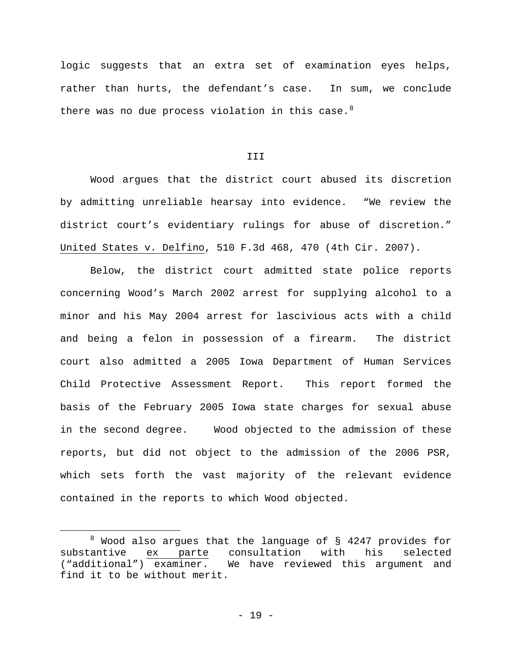logic suggests that an extra set of examination eyes helps, rather than hurts, the defendant's case. In sum, we conclude there was no due process violation in this case. $8$ 

III

Wood argues that the district court abused its discretion by admitting unreliable hearsay into evidence. "We review the district court's evidentiary rulings for abuse of discretion." United States v. Delfino, 510 F.3d 468, 470 (4th Cir. 2007).

Below, the district court admitted state police reports concerning Wood's March 2002 arrest for supplying alcohol to a minor and his May 2004 arrest for lascivious acts with a child and being a felon in possession of a firearm. The district court also admitted a 2005 Iowa Department of Human Services Child Protective Assessment Report. This report formed the basis of the February 2005 Iowa state charges for sexual abuse in the second degree. Wood objected to the admission of these reports, but did not object to the admission of the 2006 PSR, which sets forth the vast majority of the relevant evidence contained in the reports to which Wood objected.

<span id="page-18-0"></span><sup>&</sup>lt;sup>8</sup> Wood also argues that the language of  $\S$  4247 provides for substantive ex parte consultation with his selected substantive ex parte consultation<br>("additional") examiner. We have revie We have reviewed this argument and find it to be without merit.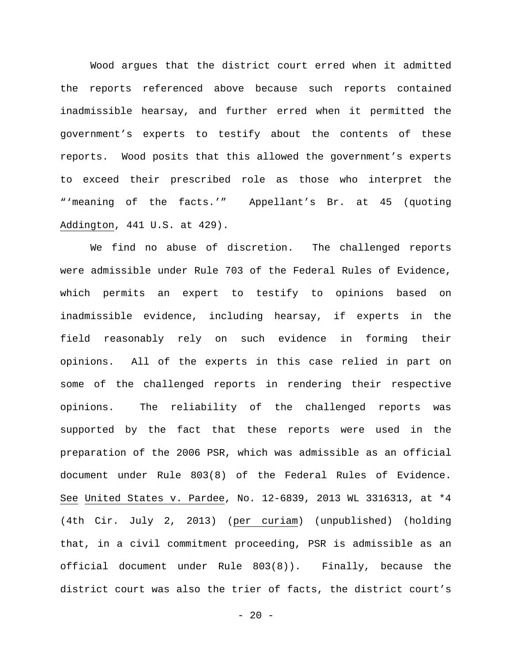Wood argues that the district court erred when it admitted the reports referenced above because such reports contained inadmissible hearsay, and further erred when it permitted the government's experts to testify about the contents of these reports. Wood posits that this allowed the government's experts to exceed their prescribed role as those who interpret the "'meaning of the facts.'" Appellant's Br. at 45 (quoting Addington, 441 U.S. at 429).

We find no abuse of discretion. The challenged reports were admissible under Rule 703 of the Federal Rules of Evidence, which permits an expert to testify to opinions based on inadmissible evidence, including hearsay, if experts in the field reasonably rely on such evidence in forming their opinions. All of the experts in this case relied in part on some of the challenged reports in rendering their respective opinions. The reliability of the challenged reports was supported by the fact that these reports were used in the preparation of the 2006 PSR, which was admissible as an official document under Rule 803(8) of the Federal Rules of Evidence. See United States v. Pardee, No. 12-6839, 2013 WL 3316313, at \*4 (4th Cir. July 2, 2013) (per curiam) (unpublished) (holding that, in a civil commitment proceeding, PSR is admissible as an official document under Rule 803(8)). Finally, because the district court was also the trier of facts, the district court's

 $- 20 -$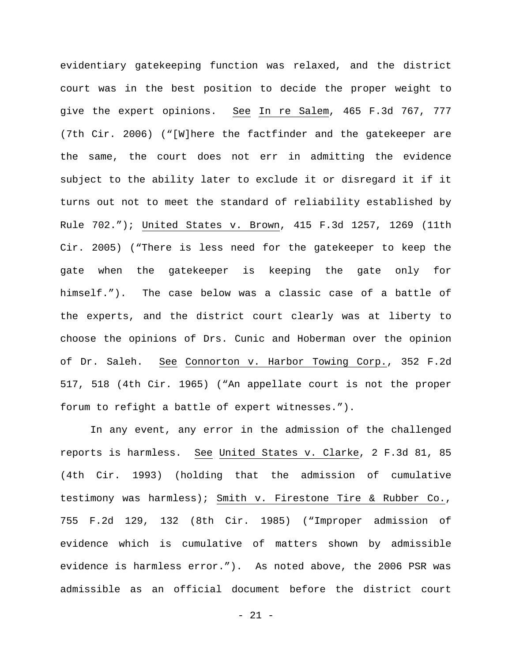evidentiary gatekeeping function was relaxed, and the district court was in the best position to decide the proper weight to give the expert opinions. See In re Salem, 465 F.3d 767, 777 (7th Cir. 2006) ("[W]here the factfinder and the gatekeeper are the same, the court does not err in admitting the evidence subject to the ability later to exclude it or disregard it if it turns out not to meet the standard of reliability established by Rule 702."); United States v. Brown, 415 F.3d 1257, 1269 (11th Cir. 2005) ("There is less need for the gatekeeper to keep the gate when the gatekeeper is keeping the gate only for himself."). The case below was a classic case of a battle of the experts, and the district court clearly was at liberty to choose the opinions of Drs. Cunic and Hoberman over the opinion of Dr. Saleh. See Connorton v. Harbor Towing Corp., 352 F.2d 517, 518 (4th Cir. 1965) ("An appellate court is not the proper forum to refight a battle of expert witnesses.").

In any event, any error in the admission of the challenged reports is harmless. See United States v. Clarke, 2 F.3d 81, 85 (4th Cir. 1993) (holding that the admission of cumulative testimony was harmless); Smith v. Firestone Tire & Rubber Co., 755 F.2d 129, 132 (8th Cir. 1985) ("Improper admission of evidence which is cumulative of matters shown by admissible evidence is harmless error."). As noted above, the 2006 PSR was admissible as an official document before the district court

- 21 -